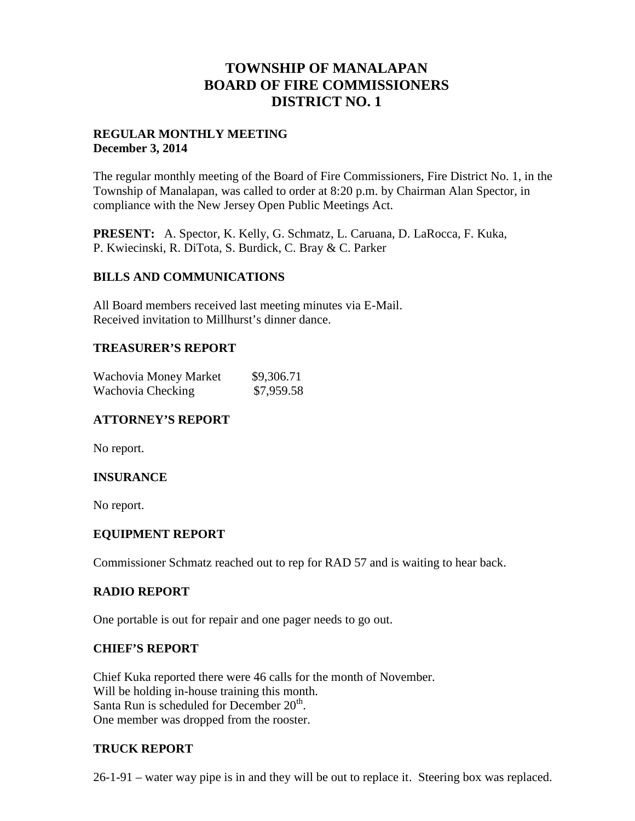# **TOWNSHIP OF MANALAPAN BOARD OF FIRE COMMISSIONERS DISTRICT NO. 1**

## **REGULAR MONTHLY MEETING December 3, 2014**

The regular monthly meeting of the Board of Fire Commissioners, Fire District No. 1, in the Township of Manalapan, was called to order at 8:20 p.m. by Chairman Alan Spector, in compliance with the New Jersey Open Public Meetings Act.

**PRESENT:** A. Spector, K. Kelly, G. Schmatz, L. Caruana, D. LaRocca, F. Kuka, P. Kwiecinski, R. DiTota, S. Burdick, C. Bray & C. Parker

## **BILLS AND COMMUNICATIONS**

All Board members received last meeting minutes via E-Mail. Received invitation to Millhurst's dinner dance.

## **TREASURER'S REPORT**

| Wachovia Money Market | \$9,306.71 |  |
|-----------------------|------------|--|
| Wachovia Checking     | \$7,959.58 |  |

# **ATTORNEY'S REPORT**

No report.

# **INSURANCE**

No report.

#### **EQUIPMENT REPORT**

Commissioner Schmatz reached out to rep for RAD 57 and is waiting to hear back.

#### **RADIO REPORT**

One portable is out for repair and one pager needs to go out.

#### **CHIEF'S REPORT**

Chief Kuka reported there were 46 calls for the month of November. Will be holding in-house training this month. Santa Run is scheduled for December  $20<sup>th</sup>$ . One member was dropped from the rooster.

# **TRUCK REPORT**

26-1-91 – water way pipe is in and they will be out to replace it. Steering box was replaced.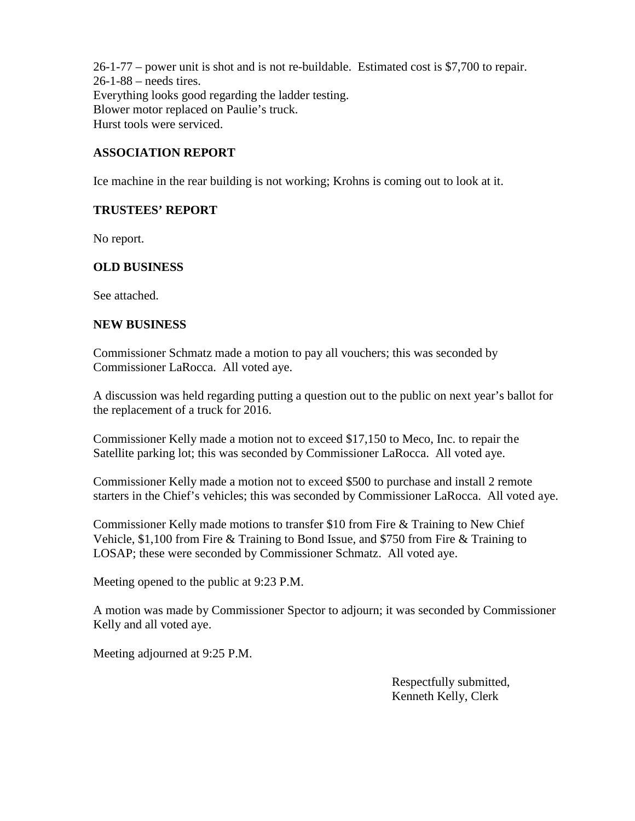26-1-77 – power unit is shot and is not re-buildable. Estimated cost is \$7,700 to repair. 26-1-88 – needs tires. Everything looks good regarding the ladder testing. Blower motor replaced on Paulie's truck. Hurst tools were serviced.

## **ASSOCIATION REPORT**

Ice machine in the rear building is not working; Krohns is coming out to look at it.

## **TRUSTEES' REPORT**

No report.

# **OLD BUSINESS**

See attached.

#### **NEW BUSINESS**

Commissioner Schmatz made a motion to pay all vouchers; this was seconded by Commissioner LaRocca. All voted aye.

A discussion was held regarding putting a question out to the public on next year's ballot for the replacement of a truck for 2016.

Commissioner Kelly made a motion not to exceed \$17,150 to Meco, Inc. to repair the Satellite parking lot; this was seconded by Commissioner LaRocca. All voted aye.

Commissioner Kelly made a motion not to exceed \$500 to purchase and install 2 remote starters in the Chief's vehicles; this was seconded by Commissioner LaRocca. All voted aye.

Commissioner Kelly made motions to transfer \$10 from Fire & Training to New Chief Vehicle, \$1,100 from Fire & Training to Bond Issue, and \$750 from Fire & Training to LOSAP; these were seconded by Commissioner Schmatz. All voted aye.

Meeting opened to the public at 9:23 P.M.

A motion was made by Commissioner Spector to adjourn; it was seconded by Commissioner Kelly and all voted aye.

Meeting adjourned at 9:25 P.M.

Respectfully submitted, Kenneth Kelly, Clerk